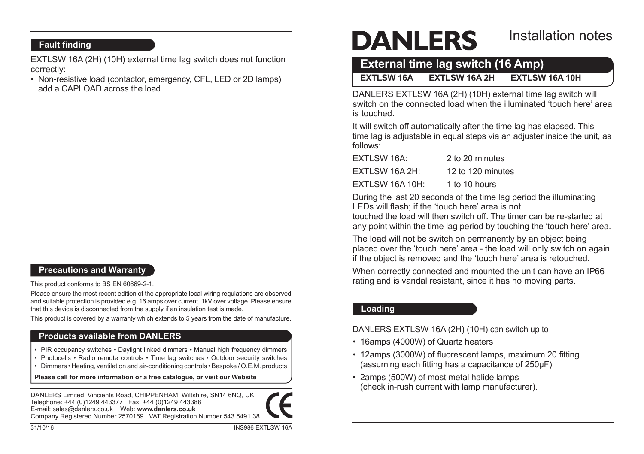# **Fault finding**

EXTLSW 16A (2H) (10H) external time lag switch does not function correctly:

• Non-resistive load (contactor, emergency, CFL, LED or 2D lamps) add a CAPLOAD across the load.

# **Precautions and Warranty**

This product conforms to BS EN 60669-2-1.

Please ensure the most recent edition of the appropriate local wiring regulations are observed and suitable protection is provided e.g. 16 amps over current, 1kV over voltage. Please ensure that this device is disconnected from the supply if an insulation test is made.

This product is covered by a warranty which extends to 5 years from the date of manufacture.

## **Products available from DANLERS**

- PIR occupancy switches Daylight linked dimmers Manual high frequency dimmers
- Photocells Radio remote controls Time lag switches Outdoor security switches
- Dimmers Heating, ventilation and air-conditioning controls Bespoke / O.E.M. products

**Please call for more information or a free catalogue, or visit our Website**

DANLERS Limited, Vincients Road, CHIPPENHAM, Wiltshire, SN14 6NQ, UK. Telephone: +44 (0)1249 443377 Fax: +44 (0)1249 443388 E-mail: sales@danlers.co.uk Web: **www.danlers.co.uk** Company Registered Number 2570169 VAT Registration Number 543 5491 38

# **DANLERS**

# Installation notes

# **External time lag switch (16 Amp)**

**EXTLSW 16A EXTLSW 16A 2H EXTLSW 16A 10H**

DANLERS EXTLSW 16A (2H) (10H) external time lag switch will switch on the connected load when the illuminated 'touch here' area is touched.

It will switch off automatically after the time lag has elapsed. This time lag is adjustable in equal steps via an adjuster inside the unit, as follows:

| EXTLSW 16A:     | 2 to 20 minutes   |
|-----------------|-------------------|
| EXTLSW 16A 2H:  | 12 to 120 minutes |
| EXTLSW 16A 10H: | 1 to 10 hours     |

During the last 20 seconds of the time lag period the illuminating LEDs will flash; if the 'touch here' area is not

touched the load will then switch off. The timer can be re-started at any point within the time lag period by touching the 'touch here' area.

The load will not be switch on permanently by an object being placed over the 'touch here' area - the load will only switch on again if the object is removed and the 'touch here' area is retouched.

When correctly connected and mounted the unit can have an IP66 rating and is vandal resistant, since it has no moving parts.

# **Loading**

DANLERS EXTLSW 16A (2H) (10H) can switch up to

- 16amps (4000W) of Quartz heaters
- 12amps (3000W) of fluorescent lamps, maximum 20 fitting (assuming each fitting has a capacitance of 250µF)
- • 2amps (500W) of most metal halide lamps (check in-rush current with lamp manufacturer).

31/10/16 INS986 EXTLSW 16A